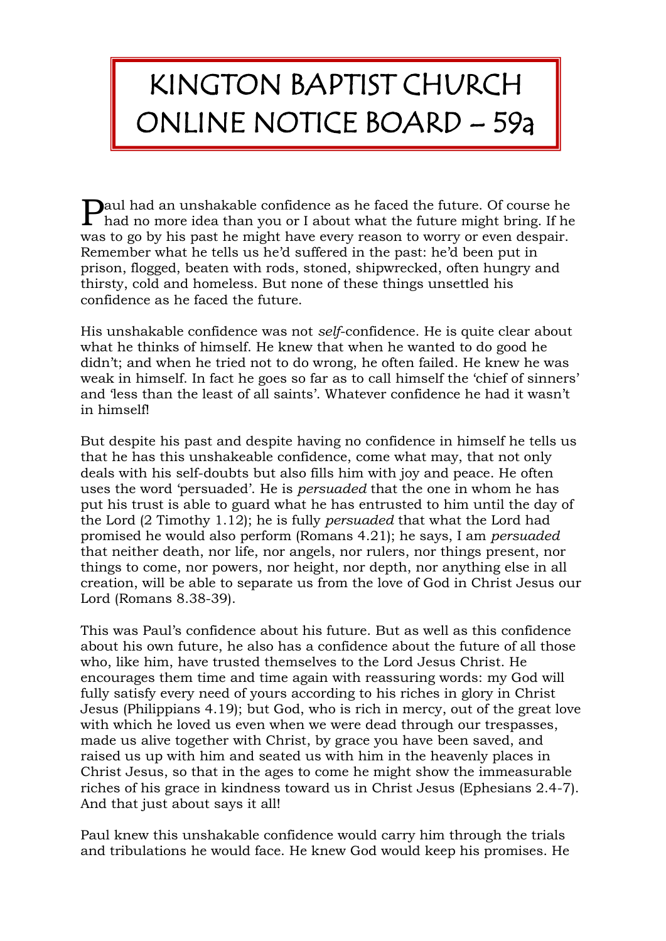## KINGTON BAPTIST CHURCH ONLINE NOTICE BOARD – 59a

aul had an unshakable confidence as he faced the future. Of course he  ${\bf P}$  had an unshakable confidence as he faced the future. Of course he had no more idea than you or I about what the future might bring. If he was to go by his past he might have every reason to worry or even despair. Remember what he tells us he'd suffered in the past: he'd been put in prison, flogged, beaten with rods, stoned, shipwrecked, often hungry and thirsty, cold and homeless. But none of these things unsettled his confidence as he faced the future.

His unshakable confidence was not *self*-confidence. He is quite clear about what he thinks of himself. He knew that when he wanted to do good he didn't; and when he tried not to do wrong, he often failed. He knew he was weak in himself. In fact he goes so far as to call himself the 'chief of sinners' and 'less than the least of all saints'. Whatever confidence he had it wasn't in himself!

But despite his past and despite having no confidence in himself he tells us that he has this unshakeable confidence, come what may, that not only deals with his self-doubts but also fills him with joy and peace. He often uses the word 'persuaded'. He is *persuaded* that the one in whom he has put his trust is able to guard what he has entrusted to him until the day of the Lord (2 Timothy 1.12); he is fully *persuaded* that what the Lord had promised he would also perform (Romans 4.21); he says, I am *persuaded* that neither death, nor life, nor angels, nor rulers, nor things present, nor things to come, nor powers, nor height, nor depth, nor anything else in all creation, will be able to separate us from the love of God in Christ Jesus our Lord (Romans 8.38-39).

This was Paul's confidence about his future. But as well as this confidence about his own future, he also has a confidence about the future of all those who, like him, have trusted themselves to the Lord Jesus Christ. He encourages them time and time again with reassuring words: my God will fully satisfy every need of yours according to his riches in glory in Christ Jesus (Philippians 4.19); but God, who is rich in mercy, out of the great love with which he loved us even when we were dead through our trespasses, made us alive together with Christ, by grace you have been saved, and raised us up with him and seated us with him in the heavenly places in Christ Jesus, so that in the ages to come he might show the immeasurable riches of his grace in kindness toward us in Christ Jesus (Ephesians 2.4-7). And that just about says it all!

Paul knew this unshakable confidence would carry him through the trials and tribulations he would face. He knew God would keep his promises. He